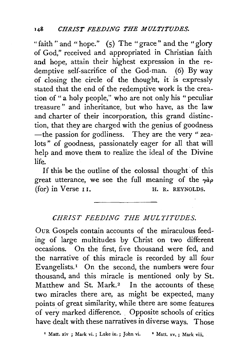"faith" and "hope."  $(5)$  The "grace" and the "glory" of God," received and appropriated in Christian faith and hope, attain their highest expression in the redemptive self-sacrifice of the God-man. (6) By way of dosing the circle of the thought, it is expressly stated that the end of the redemptive work is the creation of "a holy people," who are not only his "peculiar treasure" and inheritance, but who have, as the law and charter of their incorporation, this grand distinction, that they are charged with the genius of goodness -the passion for godliness. They are the very " $zea$ lots" of goodness, passionately eager for all that will help and move them to realize the ideal of the Divine life.

If this be the outline of the colossal thought of this great utterance, we see the full meaning of the *ryap*   $(for)$  in Verse  $II.$  H. R. REYNOLDS.

## *CHRIST FEEDING THE MULTITUDES.*

OuR Gospels contain accounts of the miraculous feeding of large multitudes by Christ on two different occasions. On the first, five thousand were fed, and the narrative of this miracle is recorded by all four Evangelists.<sup>1</sup> On the second, the numbers were four thousand, and this miracle is mentioned only by St. Matthew and St. Mark.<sup>2</sup> In the accounts of these two miracles there are, as might be expected, many points of great similarity, while there are some features of very marked difference. . Opposite schools of critics have dealt with these narratives in diverse ways. Those

<sup>1</sup> Matt. xiv ; Mark vi. ; Luke ix. ; John vi. <sup>2</sup> Matt. xv. ; Mark viii.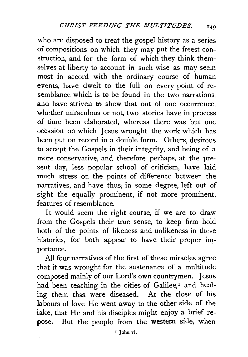who are disposed to treat the gospel history as a series of compositions on which they may put the freest construction, and for the form of which they think themselves at liberty to account in such wise as may seem most in accord with the ordinary course of human events, have dwelt to the full on every point of resemblance which is to be found in the two narrations, and have striven to shew that out of one occurrence, whether miraculous or not, two stories have in process of time been elaborated, whereas there was but one occasion on which Jesus wrought the work which has been put on record in a double form. Others, desirous to accept the Gospels in their integrity, and being of a more conservative, and therefore perhaps, at the present day, less popular school of criticism, have laid much stress on the points of difference between the narratives, and have thus, in some degree, left out of sight the equally prominent, if not more prominent, · features of resemblance.

It would seem the right course, if we are to draw from the Gospels their true sense, to keep firm hold both of the points of likeness and unlikeness in these histories, for both appear to have their proper importance.

All four narratives of the first of these miracles agree that it was wrought for the sustenance of a multitude composed mainly of our Lord's own countrymen. Jesus had been teaching in the cities of Galilee,<sup>1</sup> and healing them that were diseased. At the close of his labours of love He went away to the other side of the lake, that He and his disciples might enjoy a brief repose. But the people from the western side, when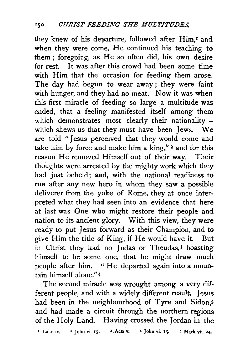they knew of his departure, followed after Him,<sup>1</sup> and when they were come, He continued his teaching to them; foregoing, as He so often did, his own desire for rest. It was after this crowd had been some time with Him that the occasion for feeding them arose. The day had begun to wear away; they were faint with hunger, and they had no meat. Now it was when this first miracle of feeding so large a multitude was ended, that a feeling manifested itself among them which demonstrates most clearly their nationality--which shews us that they must have been Jews. We are told "Jesus perceived that they would come and take him by force and make him a king,"<sup>2</sup> and for this reason He removed Himself out of their way. Their thoughts were arrested by the mighty work which they had just beheld; and, with the national readiness to run after any new hero in whom they saw a possible deliverer from the yoke of Rome, they at once interpreted what they had seen into an evidence that here at last was One who might restore their people and nation to its ancient glory. With this view, they were ready to put Jesus forward as their Champion, and to give Him the title of King, if He would have it. But in Christ they had no Judas or Theudas,<sup>3</sup> boasting himself to be some one, that he might draw much people after him. " He departed again into a mountain himself alone." 4

The second miracle was wrought among a very different people, and with a widely different result. Jesus had been in the neighbourhood of Tyre and Sidon,5 and had made a circuit through the northern regions of the Holy Land. Having crossed the Jordan in the

<sup>1</sup> Luke ix. <sup>2</sup> John vi. 15. <sup>3</sup> Acts v.  $4$  John vi. 15. <sup>5</sup> Mark vii. 24.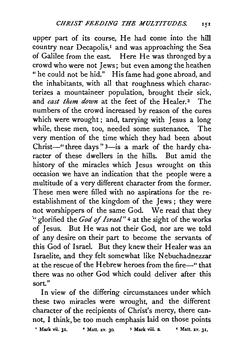upper part of its course, He had come into the hill country near Decapolis,<sup>1</sup> and was approaching the Sea of Galilee from the east. Here He was thronged by a crowd who were not Jews; but even among the heathen "he could not be hid." His fame had gone abroad, and the inhabitants, with all that roughness which characterizes a mountaineer population, brought their sick, and *cast them down* at the feet of the Healer.<sup>2</sup> The numbers of the crowd increased by reason of the cures which were wrought; and, tarrying with Jesus a long while, these men, too, needed some sustenance. The very mention of the time which they had been about Christ-" three days"  $3$ -is a mark of the hardy character of these dwellers in the hills. But amid the history of the miracles which Jesus wrought on this occasion we have an indication that the people were a multitude of a very different character from the former. These men were filled with no aspirations for the reestablishment of the kingdom of the Jews ; they were not worshippers of the same God. We read that they " glorified the *God of Israel*"<sup>4</sup> at the sight of the works of Jesus. But He was not their God, nor are we told of any desire on their part to become the servants of this God of Israel. But they knew their Healer was an Israelite, and they felt somewhat like Nebuchadnezzar at the rescue of the Hebrew heroes from the fire-" that there was no other God which could deliver after this sort"

In view of the differing circumstances under which these two miracles were wrought, and the different character of the recipients of Christ's mercy, there cannot, I think, be too much emphasis laid on those points

 $\frac{1}{2}$  Mark vii. 31.  $\frac{1}{2}$  Matt. xv. 30.  $\frac{1}{2}$  Mark viii. 2.  $\frac{1}{2}$  Matt. xv. 31.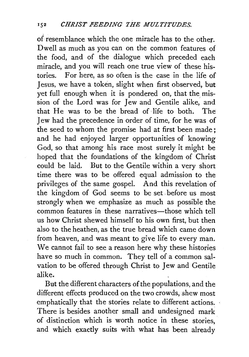of resemblance which the one miracle has to the other. Dwell as much as you can on the common features of the food, and of the dialogue which preceded each miracle, and you will reach one true view of these histories. For here, as so often is the case in the life of Jesus, we have a token, slight when first observed, but yet full enough when it is pondered on, that the mission of the Lord was for Jew and Gentile alike, and that He was to be the bread of life to both. The Jew had the precedence in order of time, for he was of the seed to whom the promise had at first been made; and he had enjoyed larger opportunities of knowing God, so that among his race most surely it might be hoped that the foundations of the kingdom of Christ could be laid. But to the Gentile within a very short time there was to be offered equal admission to the privileges of the same gospel. And this revelation of the kingdom of God seems to be set. before us most strongly when we emphasize as much as possible the common features in these narratives-those which tell us how Christ shewed himself to his own first, but then also to the heathen, as the true bread which came down from heaven, and was meant to give life to every man. We cannot fail to see a reason here why these histories have so much in common. They tell of a common salvation to be offered through Christ to Jew and Gentile alike.

But the different characters of the populations, and the different effects produced on the two crowds, shew most emphatically that the stories relate to different actions. There is besides another small and undesigned mark of distinction which is worth notice in these stories, and which exactly suits with what has been already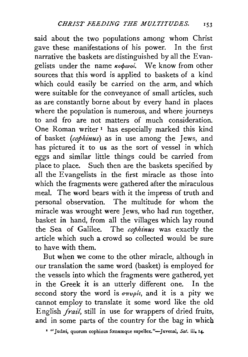said about the two populations among whom Christ gave these manifestations of his power. In the first narrative the baskets are distinguished by all the Evangelists under the name *tcocfnvot.* We know from other sources that this word is applied to baskets of a kind which could easily be carried on the arm, and which were suitable for the conveyance of small articles, such as are constantly borne about by every hand in places where the population is numerous, and where journeys to and fro are not matters of much consideration. One Roman writer<sup>1</sup> has especially marked this kind of basket *(cophinus)* as in use among the Jews, and has pictured it to us as the sort of vessel in which eggs and similar little things could be carried from place to place. Such then are the baskets specified by all the Evangelists in the first miracle as those into which the fragments were gathered after the miraculous meal. The word bears with it the impress of truth and personal observation. The multitude for whom the miracle was wrought were Jews, who had run together, basket in hand, from all the villages which lay round the Sea of Galilee. The *cophinus* was exactly the article which such a crowd so collected would be sure to have with them.

But when we come to the other miracle, although in our translation the same word (basket) is employed for the vessels into which the fragments were gathered, yet in the Greek it is an utterly different one. In the second story the word is  $\sigma \pi \nu \rho \dot{\kappa}$ , and it is a pity we cannot employ to translate it some word like the old English *fraz'l,* still in use for wrappers of dried fruits, and in some parts of the country for the bag in which

<sup>1</sup> "Judæi, quorum cophinus fœnumque supellex."-Juvenal, Sat. iii. 14-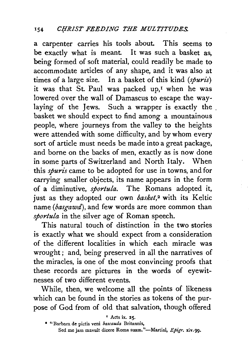a carpenter carries his tools about. This seems to be exactly what is meant. It was such a basket as, being formed of soft material, could readily be made to accommodate articles of any shape, and it was also at times of a large size. In a basket of this kind *(spuris)*  it was that St. Paul was packed up,<sup>1</sup> when he was lowered over the wall of Damascus to escape the waylaying of the Jews. Such a wrapper is exactly the . basket we should expect to find among a mountainous people, where journeys from the valley to the heights were attended with some difficulty, and by whom every sort of article must needs be made into a great package, and borne on the backs of men, exactly as is now done in some parts of Switzerland and North Italy. When this *spuris* came to be adopted for use in towns, and for carrying smaller objects, its name appears in the form of a diminutive, *sportula.* The Romans adopted it, just as they adopted our own *basket,2* with its Keltic name *(basgawd),* and few words are more common than *sportula* in the silver age of Roman speech.

This natural touch of distinction in the two stories is exactly what we should expect from a consideration of the different localities in which each miracle was wrought; and, being preserved in all the narratives of the miracles, is one of the most convincing proofs that these records are pictures in the words of eyewitnesses of two different events.

While, then, we welcome all the points of likeness which can be found in the stories as tokens of the purpose of God from of old that salvation, though offered

 $\blacksquare$  Acts ix. 25.

<sup>• &</sup>quot;Barbarn de pictis veni *bascauda* Britannis, Sed me jam mavult dicere Roma suam."-Martial, *Epigr.* xiv.99.